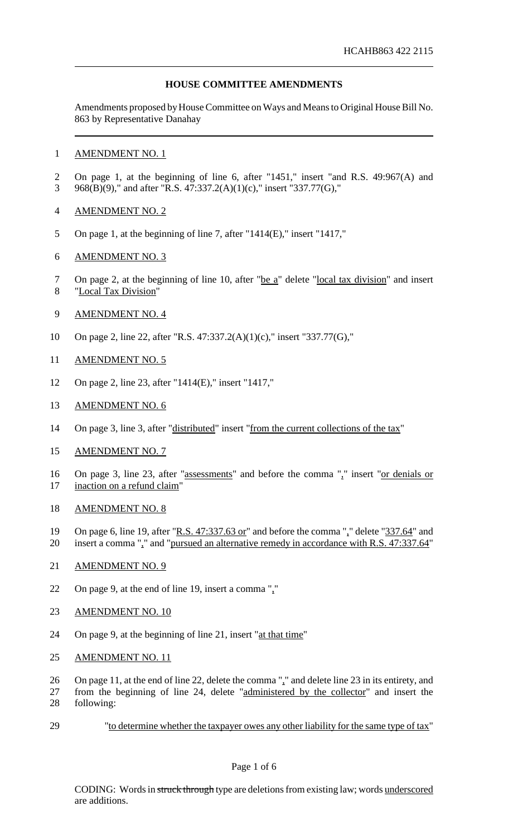## **HOUSE COMMITTEE AMENDMENTS**

Amendments proposed by House Committee on Ways and Means to Original House Bill No. 863 by Representative Danahay

#### AMENDMENT NO. 1

- On page 1, at the beginning of line 6, after "1451," insert "and R.S. 49:967(A) and 968(B)(9)," and after "R.S. 47:337.2(A)(1)(c)," insert "337.77(G),"
- AMENDMENT NO. 2
- On page 1, at the beginning of line 7, after "1414(E)," insert "1417,"
- AMENDMENT NO. 3
- 7 On page 2, at the beginning of line 10, after "be a" delete "local tax division" and insert "Local Tax Division"
- AMENDMENT NO. 4
- On page 2, line 22, after "R.S. 47:337.2(A)(1)(c)," insert "337.77(G),"
- AMENDMENT NO. 5
- On page 2, line 23, after "1414(E)," insert "1417,"
- AMENDMENT NO. 6
- 14 On page 3, line 3, after "distributed" insert "from the current collections of the tax"
- AMENDMENT NO. 7
- 16 On page 3, line 23, after "assessments" and before the comma "," insert "or denials or 17 inaction on a refund claim"
- AMENDMENT NO. 8
- 19 On page 6, line 19, after "R.S. 47:337.63 or" and before the comma "," delete "337.64" and insert a comma "," and "pursued an alternative remedy in accordance with R.S. 47:337.64"
- AMENDMENT NO. 9
- On page 9, at the end of line 19, insert a comma ","
- 23 AMENDMENT NO. 10
- 24 On page 9, at the beginning of line 21, insert "at that time"
- AMENDMENT NO. 11
- On page 11, at the end of line 22, delete the comma "," and delete line 23 in its entirety, and
- from the beginning of line 24, delete "administered by the collector" and insert the following:
- "to determine whether the taxpayer owes any other liability for the same type of tax"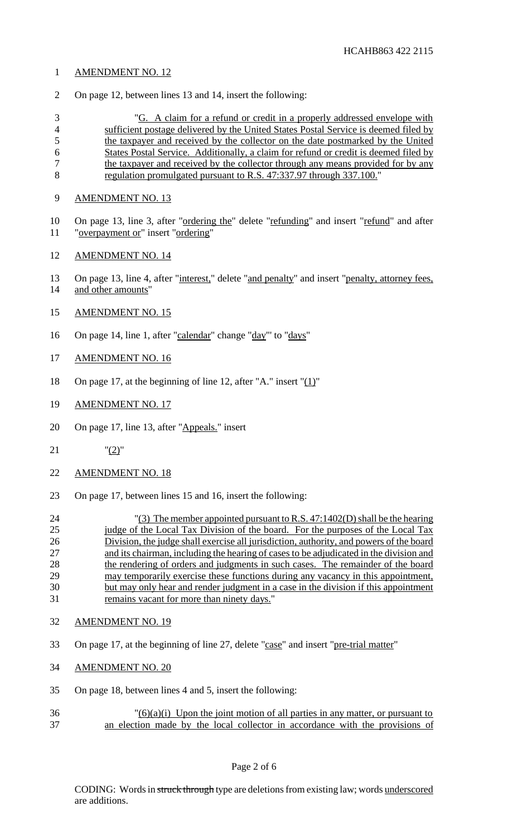# AMENDMENT NO. 12

On page 12, between lines 13 and 14, insert the following:

 "G. A claim for a refund or credit in a properly addressed envelope with sufficient postage delivered by the United States Postal Service is deemed filed by the taxpayer and received by the collector on the date postmarked by the United States Postal Service. Additionally, a claim for refund or credit is deemed filed by 7 the taxpayer and received by the collector through any means provided for by any regulation promulgated pursuant to R.S. 47:337.97 through 337.100."

- AMENDMENT NO. 13
- 10 On page 13, line 3, after "ordering the" delete "refunding" and insert "refund" and after "overpayment or" insert "ordering"
- AMENDMENT NO. 14
- 13 On page 13, line 4, after "interest," delete "and penalty" and insert "penalty, attorney fees, and other amounts"
- AMENDMENT NO. 15
- 16 On page 14, line 1, after "calendar" change "day" to "days"
- AMENDMENT NO. 16
- 18 On page 17, at the beginning of line 12, after "A." insert " $(1)$ "
- AMENDMENT NO. 17
- 20 On page 17, line 13, after "Appeals." insert
- "(2)"
- AMENDMENT NO. 18
- On page 17, between lines 15 and 16, insert the following:
- "(3) The member appointed pursuant to R.S. 47:1402(D) shall be the hearing 25 judge of the Local Tax Division of the board. For the purposes of the Local Tax Division, the judge shall exercise all jurisdiction, authority, and powers of the board and its chairman, including the hearing of cases to be adjudicated in the division and 28 the rendering of orders and judgments in such cases. The remainder of the board may temporarily exercise these functions during any vacancy in this appointment, but may only hear and render judgment in a case in the division if this appointment remains vacant for more than ninety days."
- AMENDMENT NO. 19
- On page 17, at the beginning of line 27, delete "case" and insert "pre-trial matter"
- AMENDMENT NO. 20
- On page 18, between lines 4 and 5, insert the following:
- $\frac{36}{26}$  (3)(3)(3) Upon the joint motion of all parties in any matter, or pursuant to an election made by the local collector in accordance with the provisions of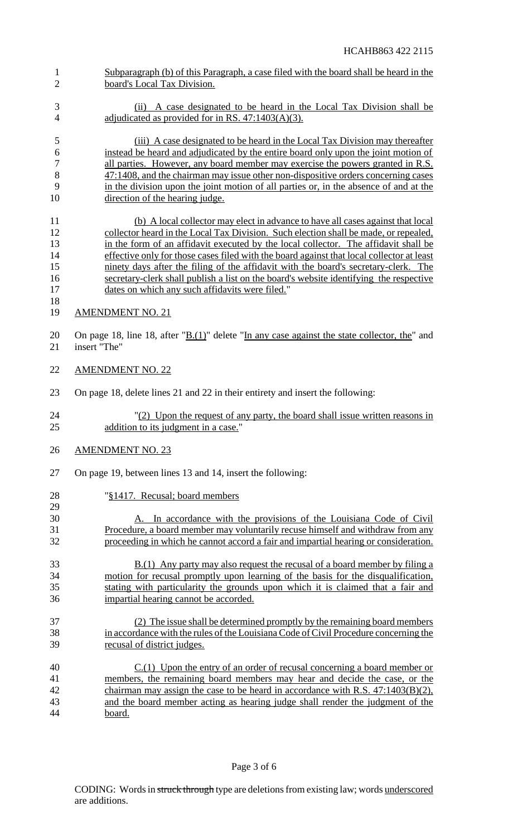board's Local Tax Division. (ii) A case designated to be heard in the Local Tax Division shall be 4 adjudicated as provided for in RS. 47:1403(A)(3). (iii) A case designated to be heard in the Local Tax Division may thereafter instead be heard and adjudicated by the entire board only upon the joint motion of 7 all parties. However, any board member may exercise the powers granted in R.S. 47:1408, and the chairman may issue other non-dispositive orders concerning cases in the division upon the joint motion of all parties or, in the absence of and at the 10 direction of the hearing judge. (b) A local collector may elect in advance to have all cases against that local collector heard in the Local Tax Division. Such election shall be made, or repealed, in the form of an affidavit executed by the local collector. The affidavit shall be 14 effective only for those cases filed with the board against that local collector at least ninety days after the filing of the affidavit with the board's secretary-clerk. The secretary-clerk shall publish a list on the board's website identifying the respective dates on which any such affidavits were filed." AMENDMENT NO. 21 20 On page 18, line 18, after " $\underline{B(1)}$ " delete "In any case against the state collector, the" and<br>21 insert "The" insert "The" AMENDMENT NO. 22 On page 18, delete lines 21 and 22 in their entirety and insert the following: "(2) Upon the request of any party, the board shall issue written reasons in 25 addition to its judgment in a case." AMENDMENT NO. 23 On page 19, between lines 13 and 14, insert the following: "§1417. Recusal; board members A. In accordance with the provisions of the Louisiana Code of Civil Procedure, a board member may voluntarily recuse himself and withdraw from any proceeding in which he cannot accord a fair and impartial hearing or consideration. 33 B.(1) Any party may also request the recusal of a board member by filing a motion for recusal promptly upon learning of the basis for the disqualification, stating with particularity the grounds upon which it is claimed that a fair and impartial hearing cannot be accorded. (2) The issue shall be determined promptly by the remaining board members in accordance with the rules of the LouisianaCode of Civil Procedure concerning the recusal of district judges. C.(1) Upon the entry of an order of recusal concerning a board member or members, the remaining board members may hear and decide the case, or the chairman may assign the case to be heard in accordance with R.S. 47:1403(B)(2), and the board member acting as hearing judge shall render the judgment of the board.

Subparagraph (b) of this Paragraph, a case filed with the board shall be heard in the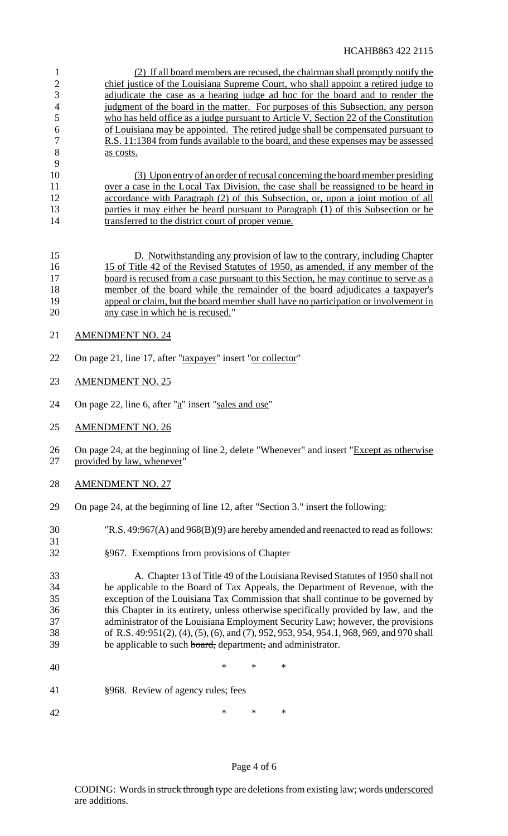(2) If all board members are recused, the chairman shall promptly notify the chief justice of the Louisiana Supreme Court, who shall appoint a retired judge to adjudicate the case as a hearing judge ad hoc for the board and to render the 4 judgment of the board in the matter. For purposes of this Subsection, any person who has held office as a judge pursuant to Article V, Section 22 of the Constitution of Louisiana may be appointed. The retired judge shall be compensated pursuant to R.S. 11:1384 from funds available to the board, and these expenses may be assessed 8 as costs.

 (3) Upon entry of an order of recusal concerning the board member presiding 11 over a case in the Local Tax Division, the case shall be reassigned to be heard in 12 accordance with Paragraph (2) of this Subsection, or, upon a joint motion of all 13 parties it may either be heard pursuant to Paragraph (1) of this Subsection or be 14 transferred to the district court of proper venue.

 D. Notwithstanding any provision of law to the contrary, including Chapter 15 of Title 42 of the Revised Statutes of 1950, as amended, if any member of the 17 board is recused from a case pursuant to this Section, he may continue to serve as a member of the board while the remainder of the board adjudicates a taxpayer's appeal or claim, but the board member shall have no participation or involvement in any case in which he is recused."

21 AMENDMENT NO. 24

- 22 On page 21, line 17, after "taxpayer" insert "or collector"
- AMENDMENT NO. 25
- 24 On page 22, line 6, after " $a$ " insert "sales and use"
- AMENDMENT NO. 26

26 On page 24, at the beginning of line 2, delete "Whenever" and insert "Except as otherwise provided by law, whenever"

AMENDMENT NO. 27

- On page 24, at the beginning of line 12, after "Section 3." insert the following:
- "R.S. 49:967(A) and 968(B)(9) are hereby amended and reenacted to read asfollows:
- §967. Exemptions from provisions of Chapter

 A. Chapter 13 of Title 49 of the Louisiana Revised Statutes of 1950 shall not be applicable to the Board of Tax Appeals, the Department of Revenue, with the exception of the Louisiana Tax Commission that shall continue to be governed by this Chapter in its entirety, unless otherwise specifically provided by law, and the administrator of the Louisiana Employment Security Law; however, the provisions of R.S. 49:951(2), (4), (5), (6), and (7), 952, 953, 954, 954.1, 968, 969, and 970 shall 39 be applicable to such board, department, and administrator.

- 40 \* \* \* \*
- §968. Review of agency rules; fees

42 \* \* \* \*

## Page 4 of 6

CODING: Words in struck through type are deletions from existing law; words underscored are additions.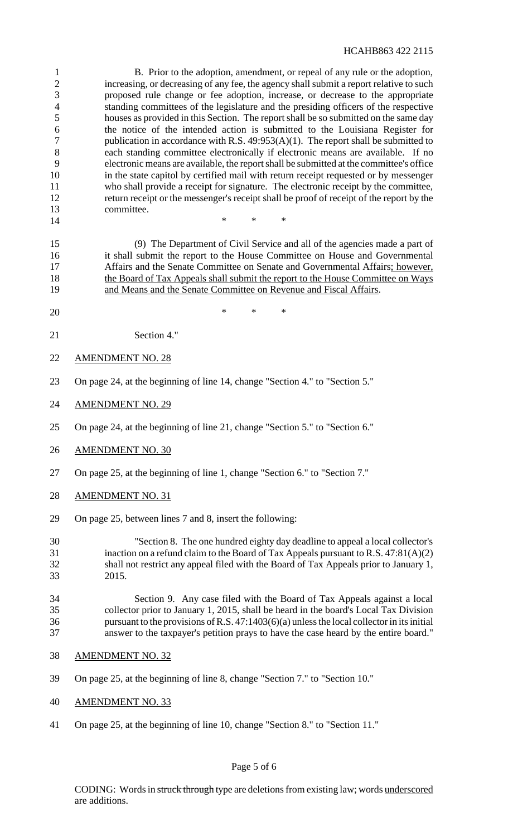#### HCAHB863 422 2115

 B. Prior to the adoption, amendment, or repeal of any rule or the adoption, increasing, or decreasing of any fee, the agency shall submit a report relative to such proposed rule change or fee adoption, increase, or decrease to the appropriate standing committees of the legislature and the presiding officers of the respective houses as provided in this Section. The report shall be so submitted on the same day the notice of the intended action is submitted to the Louisiana Register for 7 publication in accordance with R.S. 49:953(A)(1). The report shall be submitted to each standing committee electronically if electronic means are available. If no electronic means are available, the reportshall be submitted at the committee's office in the state capitol by certified mail with return receipt requested or by messenger who shall provide a receipt for signature. The electronic receipt by the committee, return receipt or the messenger's receipt shall be proof of receipt of the report by the committee. \* \* \*

 (9) The Department of Civil Service and all of the agencies made a part of it shall submit the report to the House Committee on House and Governmental 17 Affairs and the Senate Committee on Senate and Governmental Affairs; however, the Board of Tax Appeals shall submit the report to the House Committee on Ways and Means and the Senate Committee on Revenue and Fiscal Affairs.

- $*$  \* \* \*
- Section 4."
- AMENDMENT NO. 28
- On page 24, at the beginning of line 14, change "Section 4." to "Section 5."
- AMENDMENT NO. 29
- On page 24, at the beginning of line 21, change "Section 5." to "Section 6."
- AMENDMENT NO. 30
- On page 25, at the beginning of line 1, change "Section 6." to "Section 7."
- AMENDMENT NO. 31
- On page 25, between lines 7 and 8, insert the following:

 "Section 8. The one hundred eighty day deadline to appeal a local collector's inaction on a refund claim to the Board of Tax Appeals pursuant to R.S. 47:81(A)(2) shall not restrict any appeal filed with the Board of Tax Appeals prior to January 1, 2015.

### Section 9. Any case filed with the Board of Tax Appeals against a local collector prior to January 1, 2015, shall be heard in the board's Local Tax Division pursuant to the provisions ofR.S. 47:1403(6)(a) unlessthe local collectorin itsinitial answer to the taxpayer's petition prays to have the case heard by the entire board."

- AMENDMENT NO. 32
- On page 25, at the beginning of line 8, change "Section 7." to "Section 10."
- AMENDMENT NO. 33
- On page 25, at the beginning of line 10, change "Section 8." to "Section 11."